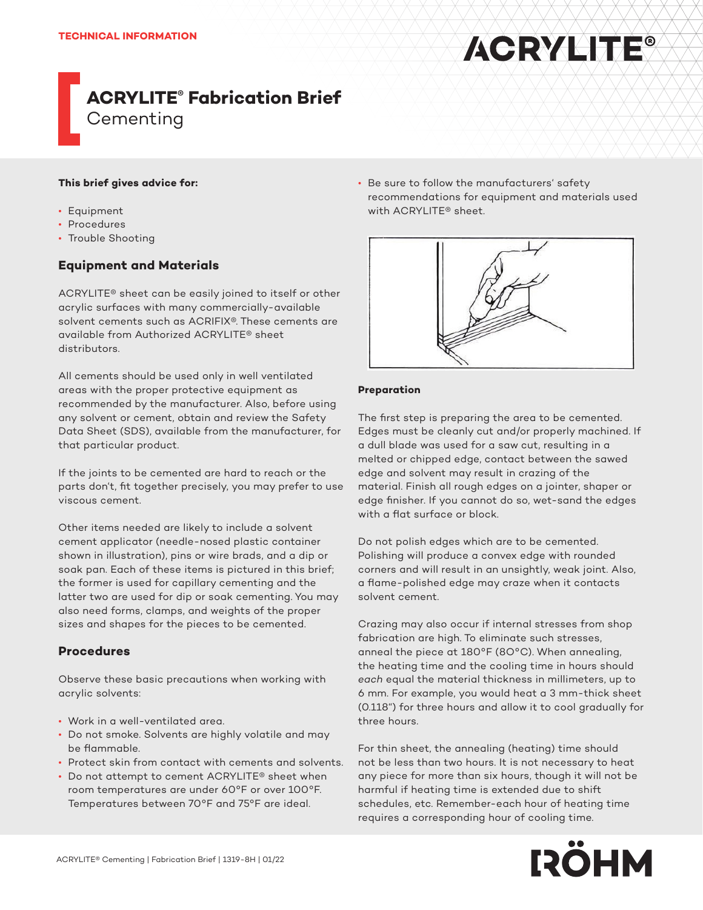#### **This brief gives advice for:**

- Equipment
- Procedures
- Trouble Shooting

#### **Equipment and Materials**

ACRYLITE® sheet can be easily joined to itself or other acrylic surfaces with many commercially-available solvent cements such as ACRIFIX®. These cements are available from Authorized ACRYLITE® sheet distributors.

All cements should be used only in well ventilated areas with the proper protective equipment as recommended by the manufacturer. Also, before using any solvent or cement, obtain and review the Safety Data Sheet (SDS), available from the manufacturer, for that particular product.

If the joints to be cemented are hard to reach or the parts don't, fit together precisely, you may prefer to use viscous cement.

Other items needed are likely to include a solvent cement applicator (needle-nosed plastic container shown in illustration), pins or wire brads, and a dip or soak pan. Each of these items is pictured in this brief; the former is used for capillary cementing and the latter two are used for dip or soak cementing. You may also need forms, clamps, and weights of the proper sizes and shapes for the pieces to be cemented.

#### **Procedures**

Observe these basic precautions when working with acrylic solvents:

- Work in a well-ventilated area.
- Do not smoke. Solvents are highly volatile and may be flammable.
- Protect skin from contact with cements and solvents.
- Do not attempt to cement ACRYLITE® sheet when room temperatures are under 60°F or over 100°F. Temperatures between 70°F and 75°F are ideal.

• Be sure to follow the manufacturers' safety recommendations for equipment and materials used with ACRYLITE® sheet.

**ACRYLITE®** 



#### **Preparation**

The first step is preparing the area to be cemented. Edges must be cleanly cut and/or properly machined. If a dull blade was used for a saw cut, resulting in a melted or chipped edge, contact between the sawed edge and solvent may result in crazing of the material. Finish all rough edges on a jointer, shaper or edge finisher. If you cannot do so, wet-sand the edges with a flat surface or block.

Do not polish edges which are to be cemented. Polishing will produce a convex edge with rounded corners and will result in an unsightly, weak joint. Also, a flame-polished edge may craze when it contacts solvent cement.

Crazing may also occur if internal stresses from shop fabrication are high. To eliminate such stresses, anneal the piece at 180°F (8O°C). When annealing, the heating time and the cooling time in hours should *each* equal the material thickness in millimeters, up to 6 mm. For example, you would heat a 3 mm-thick sheet (0.118") for three hours and allow it to cool gradually for three hours.

For thin sheet, the annealing (heating) time should not be less than two hours. It is not necessary to heat any piece for more than six hours, though it will not be harmful if heating time is extended due to shift schedules, etc. Remember-each hour of heating time requires a corresponding hour of cooling time.

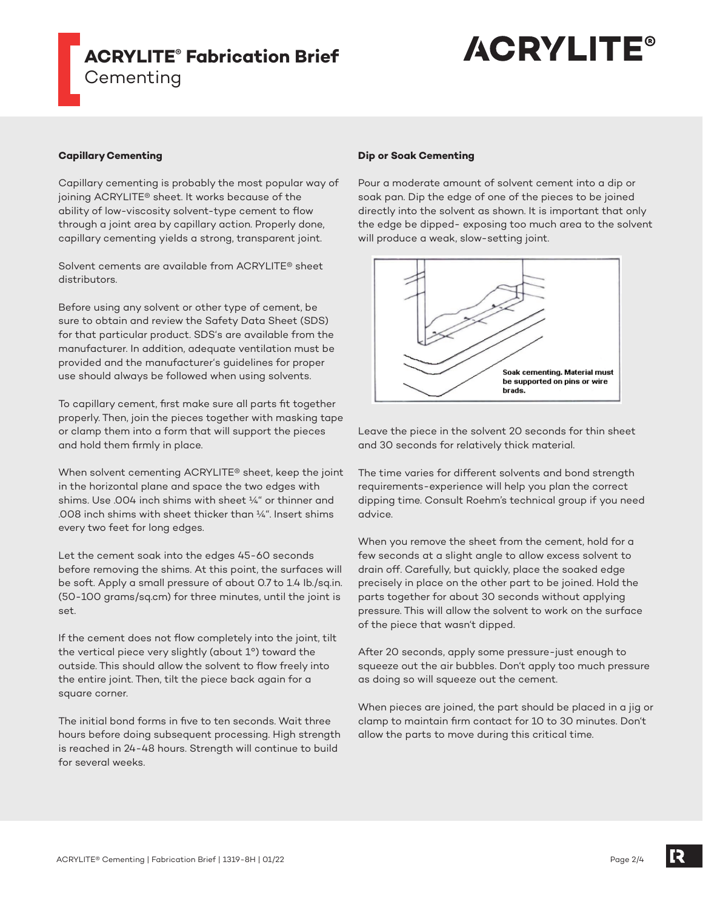# **ACRYLITE®**

#### **Capillary Cementing**

Capillary cementing is probably the most popular way of joining ACRYLITE® sheet. It works because of the ability of low-viscosity solvent-type cement to flow through a joint area by capillary action. Properly done, capillary cementing yields a strong, transparent joint.

Solvent cements are available from ACRYLITE® sheet distributors.

Before using any solvent or other type of cement, be sure to obtain and review the Safety Data Sheet (SDS) for that particular product. SDS's are available from the manufacturer. In addition, adequate ventilation must be provided and the manufacturer's guidelines for proper use should always be followed when using solvents.

To capillary cement, first make sure all parts fit together properly. Then, join the pieces together with masking tape or clamp them into a form that will support the pieces and hold them firmly in place.

When solvent cementing ACRYLITE® sheet, keep the joint in the horizontal plane and space the two edges with shims. Use .004 inch shims with sheet ¼" or thinner and .008 inch shims with sheet thicker than ¼". Insert shims every two feet for long edges.

Let the cement soak into the edges 45-60 seconds before removing the shims. At this point, the surfaces will be soft. Apply a small pressure of about 0.7 to 1.4 Ib./sq.in. (50-100 grams/sq.cm) for three minutes, until the joint is set.

If the cement does not flow completely into the joint, tilt the vertical piece very slightly (about 1°) toward the outside. This should allow the solvent to flow freely into the entire joint. Then, tilt the piece back again for a square corner.

The initial bond forms in five to ten seconds. Wait three hours before doing subsequent processing. High strength is reached in 24-48 hours. Strength will continue to build for several weeks.

#### **Dip or Soak Cementing**

Pour a moderate amount of solvent cement into a dip or soak pan. Dip the edge of one of the pieces to be joined directly into the solvent as shown. It is important that only the edge be dipped- exposing too much area to the solvent will produce a weak, slow-setting joint.



Leave the piece in the solvent 20 seconds for thin sheet and 30 seconds for relatively thick material.

The time varies for different solvents and bond strength requirements-experience will help you plan the correct dipping time. Consult Roehm's technical group if you need advice.

When you remove the sheet from the cement, hold for a few seconds at a slight angle to allow excess solvent to drain off. Carefully, but quickly, place the soaked edge precisely in place on the other part to be joined. Hold the parts together for about 30 seconds without applying pressure. This will allow the solvent to work on the surface of the piece that wasn't dipped.

After 20 seconds, apply some pressure-just enough to squeeze out the air bubbles. Don't apply too much pressure as doing so will squeeze out the cement.

When pieces are joined, the part should be placed in a jig or clamp to maintain firm contact for 10 to 30 minutes. Don't allow the parts to move during this critical time.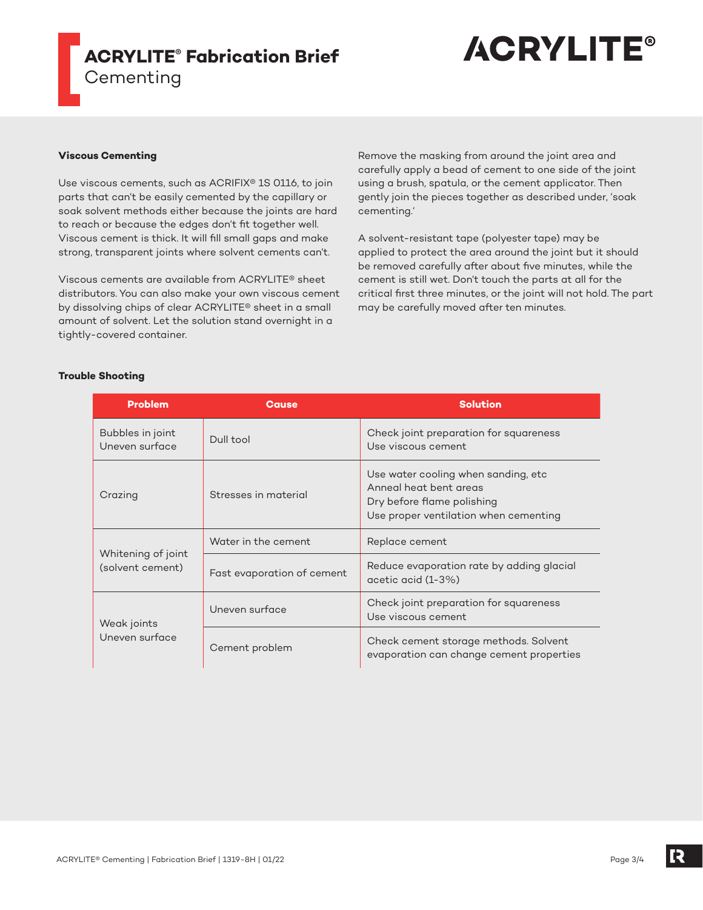

#### **Viscous Cementing**

Use viscous cements, such as ACRIFIX® 1S 0116, to join parts that can't be easily cemented by the capillary or soak solvent methods either because the joints are hard to reach or because the edges don't fit together well. Viscous cement is thick. It will fill small gaps and make strong, transparent joints where solvent cements can't.

Viscous cements are available from ACRYLITE® sheet distributors. You can also make your own viscous cement by dissolving chips of clear ACRYLITE® sheet in a small amount of solvent. Let the solution stand overnight in a tightly-covered container.

Remove the masking from around the joint area and carefully apply a bead of cement to one side of the joint using a brush, spatula, or the cement applicator. Then gently join the pieces together as described under, 'soak cementing.'

A solvent-resistant tape (polyester tape) may be applied to protect the area around the joint but it should be removed carefully after about five minutes, while the cement is still wet. Don't touch the parts at all for the critical first three minutes, or the joint will not hold. The part may be carefully moved after ten minutes.

#### **Trouble Shooting**

| <b>Problem</b>                         | Cause                      | <b>Solution</b>                                                                                                                       |
|----------------------------------------|----------------------------|---------------------------------------------------------------------------------------------------------------------------------------|
| Bubbles in joint<br>Uneven surface     | Dull tool                  | Check joint preparation for squareness<br>Use viscous cement                                                                          |
| Crazing                                | Stresses in material       | Use water cooling when sanding, etc.<br>Anneal heat bent areas<br>Dry before flame polishing<br>Use proper ventilation when cementing |
| Whitening of joint<br>(solvent cement) | Water in the cement        | Replace cement                                                                                                                        |
|                                        | Fast evaporation of cement | Reduce evaporation rate by adding glacial<br>acetic acid (1-3%)                                                                       |
| Weak joints<br>Uneven surface          | Uneven surface             | Check joint preparation for squareness<br>Use viscous cement                                                                          |
|                                        | Cement problem             | Check cement storage methods. Solvent<br>evaporation can change cement properties                                                     |